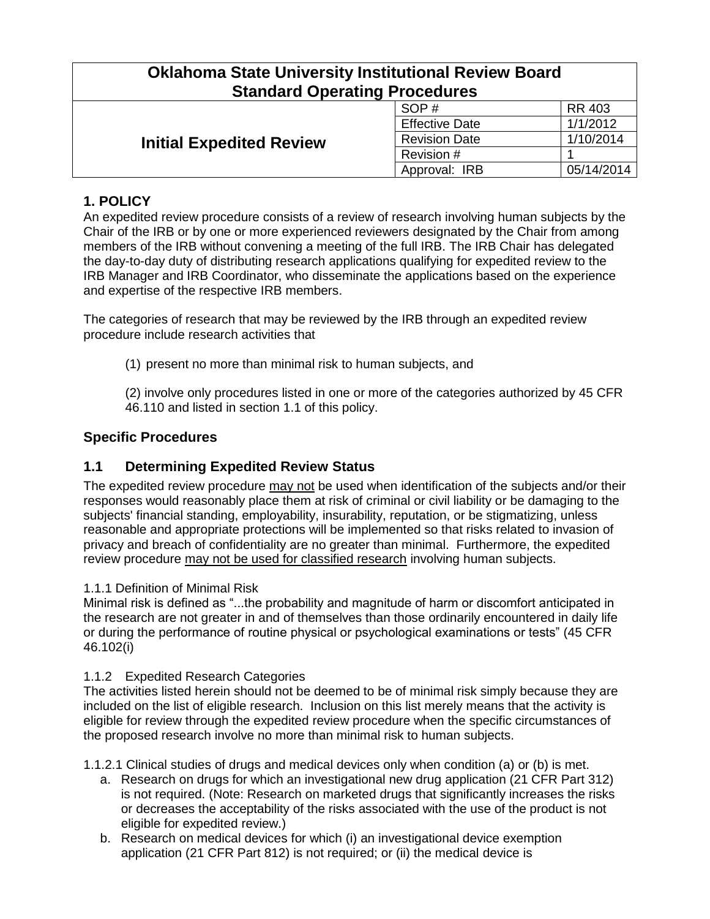| <b>Oklahoma State University Institutional Review Board</b><br><b>Standard Operating Procedures</b> |                       |               |  |
|-----------------------------------------------------------------------------------------------------|-----------------------|---------------|--|
| <b>Initial Expedited Review</b>                                                                     | SOP#                  | <b>RR 403</b> |  |
|                                                                                                     | <b>Effective Date</b> | 1/1/2012      |  |
|                                                                                                     | <b>Revision Date</b>  | 1/10/2014     |  |
|                                                                                                     | Revision #            |               |  |
|                                                                                                     | Approval: IRB         | 05/14/2014    |  |

# **1. POLICY**

An expedited review procedure consists of a review of research involving human subjects by the Chair of the IRB or by one or more experienced reviewers designated by the Chair from among members of the IRB without convening a meeting of the full IRB. The IRB Chair has delegated the day-to-day duty of distributing research applications qualifying for expedited review to the IRB Manager and IRB Coordinator, who disseminate the applications based on the experience and expertise of the respective IRB members.

The categories of research that may be reviewed by the IRB through an expedited review procedure include research activities that

- (1) present no more than minimal risk to human subjects, and
- (2) involve only procedures listed in one or more of the categories authorized by 45 CFR 46.110 and listed in section 1.1 of this policy.

## **Specific Procedures**

## **1.1 Determining Expedited Review Status**

The expedited review procedure may not be used when identification of the subjects and/or their responses would reasonably place them at risk of criminal or civil liability or be damaging to the subjects' financial standing, employability, insurability, reputation, or be stigmatizing, unless reasonable and appropriate protections will be implemented so that risks related to invasion of privacy and breach of confidentiality are no greater than minimal. Furthermore, the expedited review procedure may not be used for classified research involving human subjects.

## 1.1.1 Definition of Minimal Risk

Minimal risk is defined as "...the probability and magnitude of harm or discomfort anticipated in the research are not greater in and of themselves than those ordinarily encountered in daily life or during the performance of routine physical or psychological examinations or tests" (45 CFR 46.102(i)

## 1.1.2 Expedited Research Categories

The activities listed herein should not be deemed to be of minimal risk simply because they are included on the list of eligible research. Inclusion on this list merely means that the activity is eligible for review through the expedited review procedure when the specific circumstances of the proposed research involve no more than minimal risk to human subjects.

1.1.2.1 Clinical studies of drugs and medical devices only when condition (a) or (b) is met.

- a. Research on drugs for which an investigational new drug application (21 CFR Part 312) is not required. (Note: Research on marketed drugs that significantly increases the risks or decreases the acceptability of the risks associated with the use of the product is not eligible for expedited review.)
- b. Research on medical devices for which (i) an investigational device exemption application (21 CFR Part 812) is not required; or (ii) the medical device is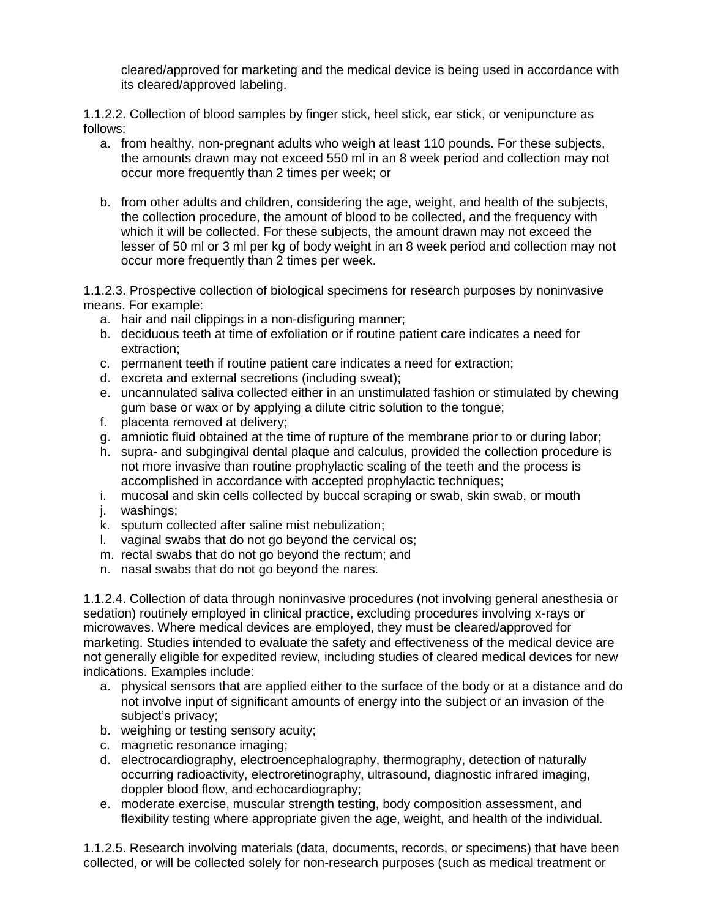cleared/approved for marketing and the medical device is being used in accordance with its cleared/approved labeling.

1.1.2.2. Collection of blood samples by finger stick, heel stick, ear stick, or venipuncture as follows:

- a. from healthy, non-pregnant adults who weigh at least 110 pounds. For these subjects, the amounts drawn may not exceed 550 ml in an 8 week period and collection may not occur more frequently than 2 times per week; or
- b. from other adults and children, considering the age, weight, and health of the subjects, the collection procedure, the amount of blood to be collected, and the frequency with which it will be collected. For these subjects, the amount drawn may not exceed the lesser of 50 ml or 3 ml per kg of body weight in an 8 week period and collection may not occur more frequently than 2 times per week.

1.1.2.3. Prospective collection of biological specimens for research purposes by noninvasive means. For example:

- a. hair and nail clippings in a non-disfiguring manner;
- b. deciduous teeth at time of exfoliation or if routine patient care indicates a need for extraction;
- c. permanent teeth if routine patient care indicates a need for extraction;
- d. excreta and external secretions (including sweat);
- e. uncannulated saliva collected either in an unstimulated fashion or stimulated by chewing gum base or wax or by applying a dilute citric solution to the tongue;
- f. placenta removed at delivery;
- g. amniotic fluid obtained at the time of rupture of the membrane prior to or during labor;
- h. supra- and subgingival dental plaque and calculus, provided the collection procedure is not more invasive than routine prophylactic scaling of the teeth and the process is accomplished in accordance with accepted prophylactic techniques;
- i. mucosal and skin cells collected by buccal scraping or swab, skin swab, or mouth
- j. washings;
- k. sputum collected after saline mist nebulization;
- l. vaginal swabs that do not go beyond the cervical os;
- m. rectal swabs that do not go beyond the rectum; and
- n. nasal swabs that do not go beyond the nares.

1.1.2.4. Collection of data through noninvasive procedures (not involving general anesthesia or sedation) routinely employed in clinical practice, excluding procedures involving x-rays or microwaves. Where medical devices are employed, they must be cleared/approved for marketing. Studies intended to evaluate the safety and effectiveness of the medical device are not generally eligible for expedited review, including studies of cleared medical devices for new indications. Examples include:

- a. physical sensors that are applied either to the surface of the body or at a distance and do not involve input of significant amounts of energy into the subject or an invasion of the subject's privacy;
- b. weighing or testing sensory acuity;
- c. magnetic resonance imaging;
- d. electrocardiography, electroencephalography, thermography, detection of naturally occurring radioactivity, electroretinography, ultrasound, diagnostic infrared imaging, doppler blood flow, and echocardiography;
- e. moderate exercise, muscular strength testing, body composition assessment, and flexibility testing where appropriate given the age, weight, and health of the individual.

1.1.2.5. Research involving materials (data, documents, records, or specimens) that have been collected, or will be collected solely for non-research purposes (such as medical treatment or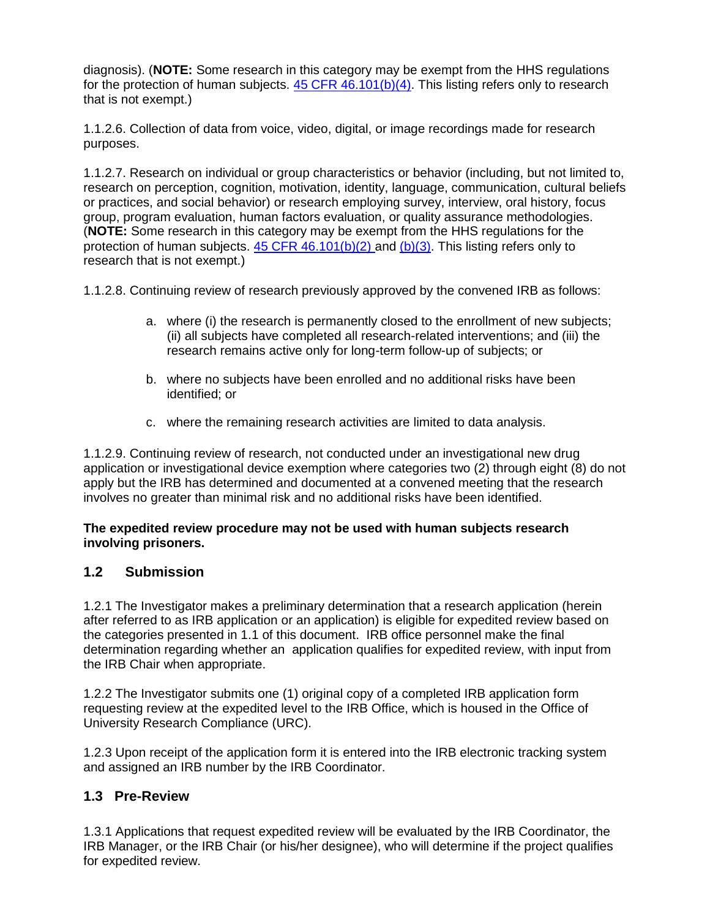diagnosis). (**NOTE:** Some research in this category may be exempt from the HHS regulations for the protection of human subjects.  $45$  CFR  $46.101(b)(4)$ . This listing refers only to research that is not exempt.)

1.1.2.6. Collection of data from voice, video, digital, or image recordings made for research purposes.

1.1.2.7. Research on individual or group characteristics or behavior (including, but not limited to, research on perception, cognition, motivation, identity, language, communication, cultural beliefs or practices, and social behavior) or research employing survey, interview, oral history, focus group, program evaluation, human factors evaluation, or quality assurance methodologies. (**NOTE:** Some research in this category may be exempt from the HHS regulations for the protection of human subjects.  $45$  CFR  $46.101(b)(2)$  and  $(b)(3)$ . This listing refers only to research that is not exempt.)

1.1.2.8. Continuing review of research previously approved by the convened IRB as follows:

- a. where (i) the research is permanently closed to the enrollment of new subjects; (ii) all subjects have completed all research-related interventions; and (iii) the research remains active only for long-term follow-up of subjects; or
- b. where no subjects have been enrolled and no additional risks have been identified; or
- c. where the remaining research activities are limited to data analysis.

1.1.2.9. Continuing review of research, not conducted under an investigational new drug application or investigational device exemption where categories two (2) through eight (8) do not apply but the IRB has determined and documented at a convened meeting that the research involves no greater than minimal risk and no additional risks have been identified.

#### **The expedited review procedure may not be used with human subjects research involving prisoners.**

## **1.2 Submission**

1.2.1 The Investigator makes a preliminary determination that a research application (herein after referred to as IRB application or an application) is eligible for expedited review based on the categories presented in 1.1 of this document. IRB office personnel make the final determination regarding whether an application qualifies for expedited review, with input from the IRB Chair when appropriate.

1.2.2 The Investigator submits one (1) original copy of a completed IRB application form requesting review at the expedited level to the IRB Office, which is housed in the Office of University Research Compliance (URC).

1.2.3 Upon receipt of the application form it is entered into the IRB electronic tracking system and assigned an IRB number by the IRB Coordinator.

## **1.3 Pre-Review**

1.3.1 Applications that request expedited review will be evaluated by the IRB Coordinator, the IRB Manager, or the IRB Chair (or his/her designee), who will determine if the project qualifies for expedited review.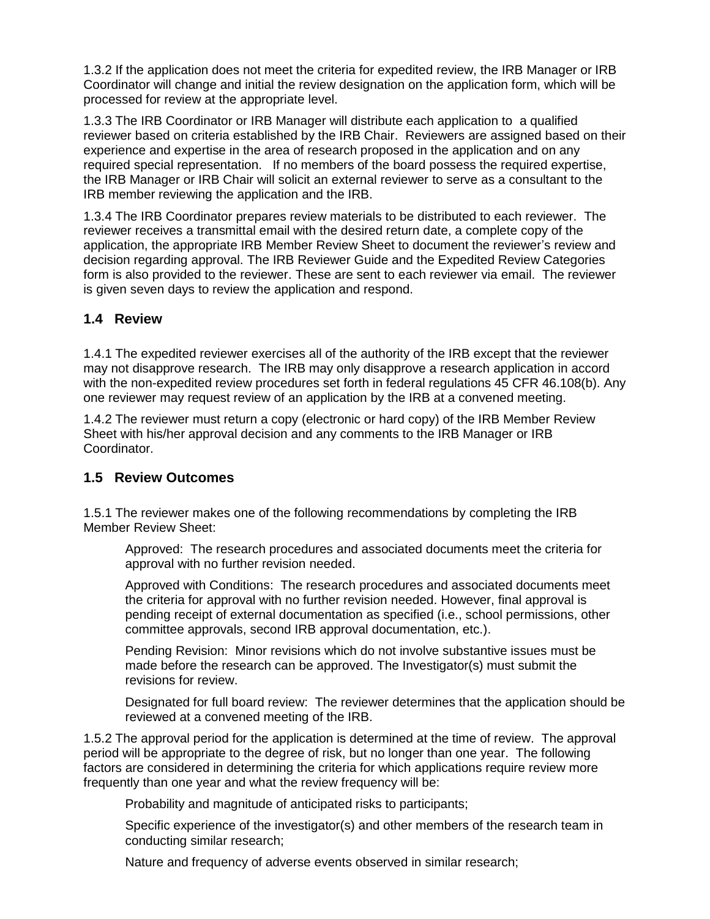1.3.2 If the application does not meet the criteria for expedited review, the IRB Manager or IRB Coordinator will change and initial the review designation on the application form, which will be processed for review at the appropriate level.

1.3.3 The IRB Coordinator or IRB Manager will distribute each application to a qualified reviewer based on criteria established by the IRB Chair. Reviewers are assigned based on their experience and expertise in the area of research proposed in the application and on any required special representation. If no members of the board possess the required expertise, the IRB Manager or IRB Chair will solicit an external reviewer to serve as a consultant to the IRB member reviewing the application and the IRB.

1.3.4 The IRB Coordinator prepares review materials to be distributed to each reviewer. The reviewer receives a transmittal email with the desired return date, a complete copy of the application, the appropriate IRB Member Review Sheet to document the reviewer's review and decision regarding approval. The IRB Reviewer Guide and the Expedited Review Categories form is also provided to the reviewer. These are sent to each reviewer via email. The reviewer is given seven days to review the application and respond.

## **1.4 Review**

1.4.1 The expedited reviewer exercises all of the authority of the IRB except that the reviewer may not disapprove research. The IRB may only disapprove a research application in accord with the non-expedited review procedures set forth in federal regulations 45 CFR 46.108(b). Any one reviewer may request review of an application by the IRB at a convened meeting.

1.4.2 The reviewer must return a copy (electronic or hard copy) of the IRB Member Review Sheet with his/her approval decision and any comments to the IRB Manager or IRB Coordinator.

## **1.5 Review Outcomes**

1.5.1 The reviewer makes one of the following recommendations by completing the IRB Member Review Sheet:

Approved: The research procedures and associated documents meet the criteria for approval with no further revision needed.

Approved with Conditions: The research procedures and associated documents meet the criteria for approval with no further revision needed. However, final approval is pending receipt of external documentation as specified (i.e., school permissions, other committee approvals, second IRB approval documentation, etc.).

Pending Revision: Minor revisions which do not involve substantive issues must be made before the research can be approved. The Investigator(s) must submit the revisions for review.

Designated for full board review: The reviewer determines that the application should be reviewed at a convened meeting of the IRB.

1.5.2 The approval period for the application is determined at the time of review. The approval period will be appropriate to the degree of risk, but no longer than one year. The following factors are considered in determining the criteria for which applications require review more frequently than one year and what the review frequency will be:

Probability and magnitude of anticipated risks to participants;

Specific experience of the investigator(s) and other members of the research team in conducting similar research;

Nature and frequency of adverse events observed in similar research;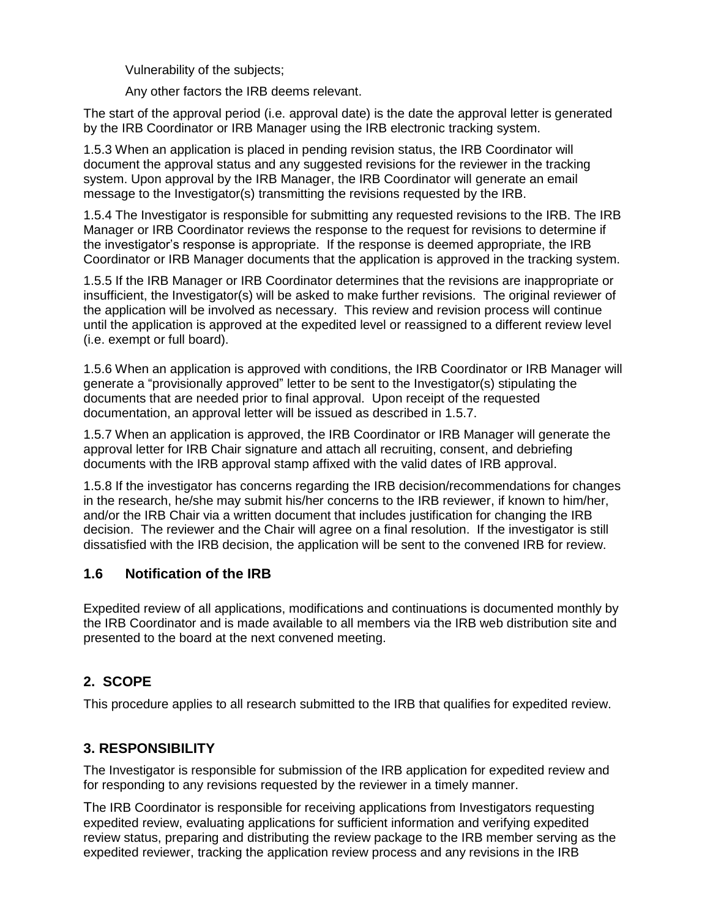Vulnerability of the subjects;

Any other factors the IRB deems relevant.

The start of the approval period (i.e. approval date) is the date the approval letter is generated by the IRB Coordinator or IRB Manager using the IRB electronic tracking system.

1.5.3 When an application is placed in pending revision status, the IRB Coordinator will document the approval status and any suggested revisions for the reviewer in the tracking system. Upon approval by the IRB Manager, the IRB Coordinator will generate an email message to the Investigator(s) transmitting the revisions requested by the IRB.

1.5.4 The Investigator is responsible for submitting any requested revisions to the IRB. The IRB Manager or IRB Coordinator reviews the response to the request for revisions to determine if the investigator's response is appropriate. If the response is deemed appropriate, the IRB Coordinator or IRB Manager documents that the application is approved in the tracking system.

1.5.5 If the IRB Manager or IRB Coordinator determines that the revisions are inappropriate or insufficient, the Investigator(s) will be asked to make further revisions. The original reviewer of the application will be involved as necessary. This review and revision process will continue until the application is approved at the expedited level or reassigned to a different review level (i.e. exempt or full board).

1.5.6 When an application is approved with conditions, the IRB Coordinator or IRB Manager will generate a "provisionally approved" letter to be sent to the Investigator(s) stipulating the documents that are needed prior to final approval. Upon receipt of the requested documentation, an approval letter will be issued as described in 1.5.7.

1.5.7 When an application is approved, the IRB Coordinator or IRB Manager will generate the approval letter for IRB Chair signature and attach all recruiting, consent, and debriefing documents with the IRB approval stamp affixed with the valid dates of IRB approval.

1.5.8 If the investigator has concerns regarding the IRB decision/recommendations for changes in the research, he/she may submit his/her concerns to the IRB reviewer, if known to him/her, and/or the IRB Chair via a written document that includes justification for changing the IRB decision. The reviewer and the Chair will agree on a final resolution. If the investigator is still dissatisfied with the IRB decision, the application will be sent to the convened IRB for review.

# **1.6 Notification of the IRB**

Expedited review of all applications, modifications and continuations is documented monthly by the IRB Coordinator and is made available to all members via the IRB web distribution site and presented to the board at the next convened meeting.

# **2. SCOPE**

This procedure applies to all research submitted to the IRB that qualifies for expedited review.

# **3. RESPONSIBILITY**

The Investigator is responsible for submission of the IRB application for expedited review and for responding to any revisions requested by the reviewer in a timely manner.

The IRB Coordinator is responsible for receiving applications from Investigators requesting expedited review, evaluating applications for sufficient information and verifying expedited review status, preparing and distributing the review package to the IRB member serving as the expedited reviewer, tracking the application review process and any revisions in the IRB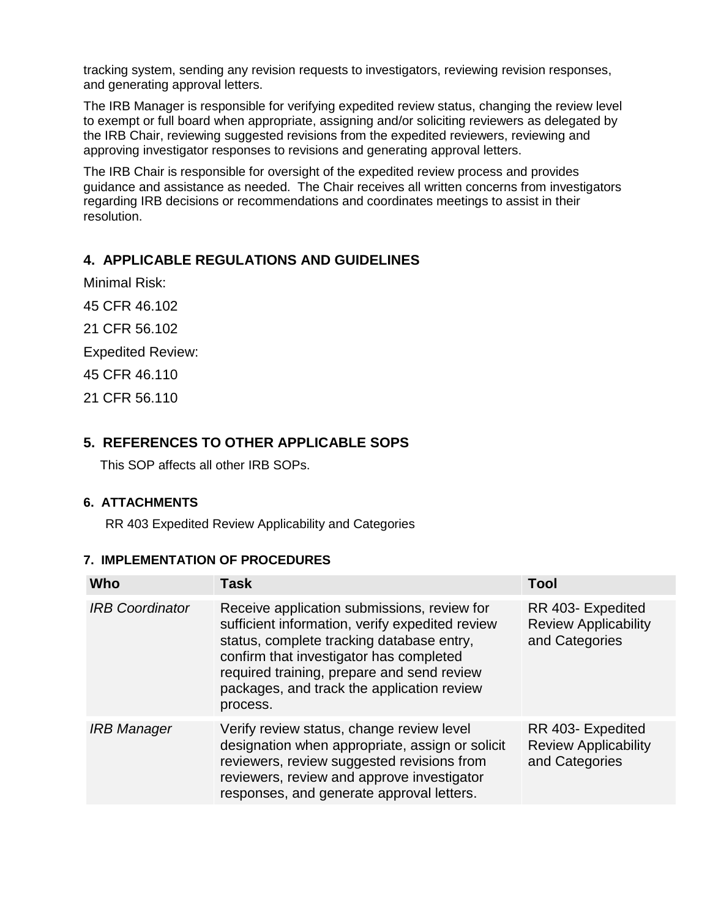tracking system, sending any revision requests to investigators, reviewing revision responses, and generating approval letters.

The IRB Manager is responsible for verifying expedited review status, changing the review level to exempt or full board when appropriate, assigning and/or soliciting reviewers as delegated by the IRB Chair, reviewing suggested revisions from the expedited reviewers, reviewing and approving investigator responses to revisions and generating approval letters.

The IRB Chair is responsible for oversight of the expedited review process and provides guidance and assistance as needed. The Chair receives all written concerns from investigators regarding IRB decisions or recommendations and coordinates meetings to assist in their resolution.

# **4. APPLICABLE REGULATIONS AND GUIDELINES**

Minimal Risk: 45 CFR 46.102 21 CFR 56.102 Expedited Review: 45 CFR 46.110 21 CFR 56.110

# **5. REFERENCES TO OTHER APPLICABLE SOPS**

This SOP affects all other IRB SOPs.

## **6. ATTACHMENTS**

RR 403 Expedited Review Applicability and Categories

## **7. IMPLEMENTATION OF PROCEDURES**

| Who                    | <b>Task</b>                                                                                                                                                                                                                                                                                    | <b>Tool</b>                                                        |
|------------------------|------------------------------------------------------------------------------------------------------------------------------------------------------------------------------------------------------------------------------------------------------------------------------------------------|--------------------------------------------------------------------|
| <b>IRB Coordinator</b> | Receive application submissions, review for<br>sufficient information, verify expedited review<br>status, complete tracking database entry,<br>confirm that investigator has completed<br>required training, prepare and send review<br>packages, and track the application review<br>process. | RR 403- Expedited<br><b>Review Applicability</b><br>and Categories |
| <b>IRB Manager</b>     | Verify review status, change review level<br>designation when appropriate, assign or solicit<br>reviewers, review suggested revisions from<br>reviewers, review and approve investigator<br>responses, and generate approval letters.                                                          | RR 403- Expedited<br><b>Review Applicability</b><br>and Categories |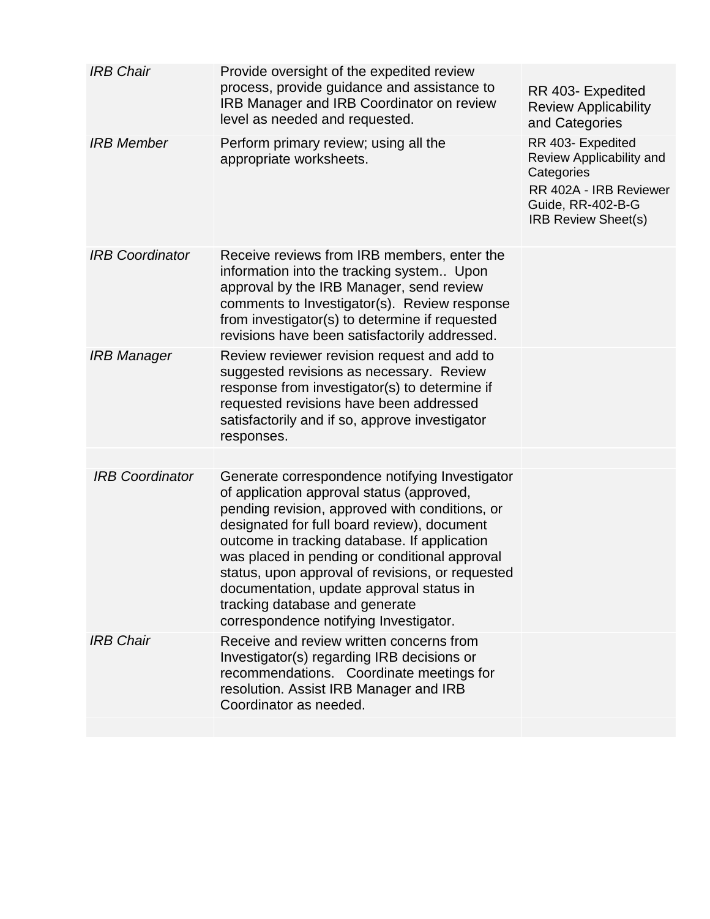| <b>IRB Chair</b>       | Provide oversight of the expedited review<br>process, provide guidance and assistance to<br>IRB Manager and IRB Coordinator on review<br>level as needed and requested.                                                                                                                                                                                                                                                                                                   | RR 403- Expedited<br><b>Review Applicability</b><br>and Categories                                                                       |
|------------------------|---------------------------------------------------------------------------------------------------------------------------------------------------------------------------------------------------------------------------------------------------------------------------------------------------------------------------------------------------------------------------------------------------------------------------------------------------------------------------|------------------------------------------------------------------------------------------------------------------------------------------|
| <b>IRB Member</b>      | Perform primary review; using all the<br>appropriate worksheets.                                                                                                                                                                                                                                                                                                                                                                                                          | RR 403- Expedited<br>Review Applicability and<br>Categories<br>RR 402A - IRB Reviewer<br>Guide, RR-402-B-G<br><b>IRB Review Sheet(s)</b> |
| <b>IRB Coordinator</b> | Receive reviews from IRB members, enter the<br>information into the tracking system Upon<br>approval by the IRB Manager, send review<br>comments to Investigator(s). Review response<br>from investigator(s) to determine if requested<br>revisions have been satisfactorily addressed.                                                                                                                                                                                   |                                                                                                                                          |
| <b>IRB Manager</b>     | Review reviewer revision request and add to<br>suggested revisions as necessary. Review<br>response from investigator(s) to determine if<br>requested revisions have been addressed<br>satisfactorily and if so, approve investigator<br>responses.                                                                                                                                                                                                                       |                                                                                                                                          |
| <b>IRB Coordinator</b> | Generate correspondence notifying Investigator<br>of application approval status (approved,<br>pending revision, approved with conditions, or<br>designated for full board review), document<br>outcome in tracking database. If application<br>was placed in pending or conditional approval<br>status, upon approval of revisions, or requested<br>documentation, update approval status in<br>tracking database and generate<br>correspondence notifying Investigator. |                                                                                                                                          |
| <b>IRB Chair</b>       | Receive and review written concerns from<br>Investigator(s) regarding IRB decisions or<br>recommendations. Coordinate meetings for<br>resolution. Assist IRB Manager and IRB<br>Coordinator as needed.                                                                                                                                                                                                                                                                    |                                                                                                                                          |
|                        |                                                                                                                                                                                                                                                                                                                                                                                                                                                                           |                                                                                                                                          |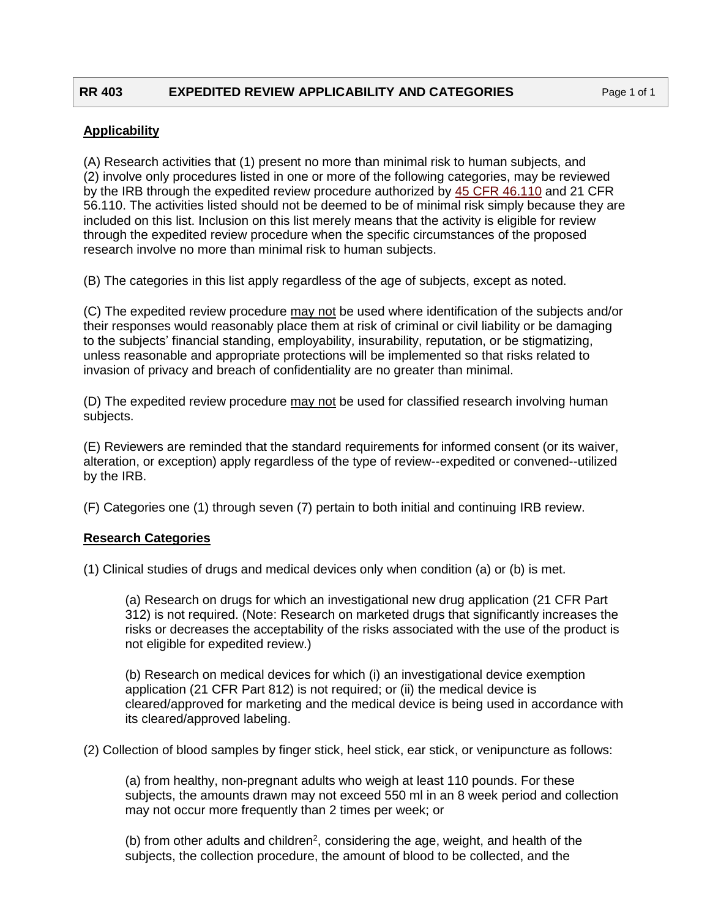## **RR 403 EXPEDITED REVIEW APPLICABILITY AND CATEGORIES** Page 1 of 1

## **Applicability**

(A) Research activities that (1) present no more than minimal risk to human subjects, and (2) involve only procedures listed in one or more of the following categories, may be reviewed by the IRB through the expedited review procedure authorized by 45 CFR [46.110](http://www.hhs.gov/ohrp/humansubjects/guidance/45cfr46.htm#46.110) and 21 CFR 56.110. The activities listed should not be deemed to be of minimal risk simply because they are included on this list. Inclusion on this list merely means that the activity is eligible for review through the expedited review procedure when the specific circumstances of the proposed research involve no more than minimal risk to human subjects.

(B) The categories in this list apply regardless of the age of subjects, except as noted.

(C) The expedited review procedure may not be used where identification of the subjects and/or their responses would reasonably place them at risk of criminal or civil liability or be damaging to the subjects' financial standing, employability, insurability, reputation, or be stigmatizing, unless reasonable and appropriate protections will be implemented so that risks related to invasion of privacy and breach of confidentiality are no greater than minimal.

(D) The expedited review procedure may not be used for classified research involving human subjects.

(E) Reviewers are reminded that the standard requirements for informed consent (or its waiver, alteration, or exception) apply regardless of the type of review--expedited or convened--utilized by the IRB.

(F) Categories one (1) through seven (7) pertain to both initial and continuing IRB review.

#### **Research Categories**

(1) Clinical studies of drugs and medical devices only when condition (a) or (b) is met.

(a) Research on drugs for which an investigational new drug application (21 CFR Part 312) is not required. (Note: Research on marketed drugs that significantly increases the risks or decreases the acceptability of the risks associated with the use of the product is not eligible for expedited review.)

(b) Research on medical devices for which (i) an investigational device exemption application (21 CFR Part 812) is not required; or (ii) the medical device is cleared/approved for marketing and the medical device is being used in accordance with its cleared/approved labeling.

(2) Collection of blood samples by finger stick, heel stick, ear stick, or venipuncture as follows:

(a) from healthy, non-pregnant adults who weigh at least 110 pounds. For these subjects, the amounts drawn may not exceed 550 ml in an 8 week period and collection may not occur more frequently than 2 times per week; or

(b) from other adults and children<sup>2</sup>, considering the age, weight, and health of the subjects, the collection procedure, the amount of blood to be collected, and the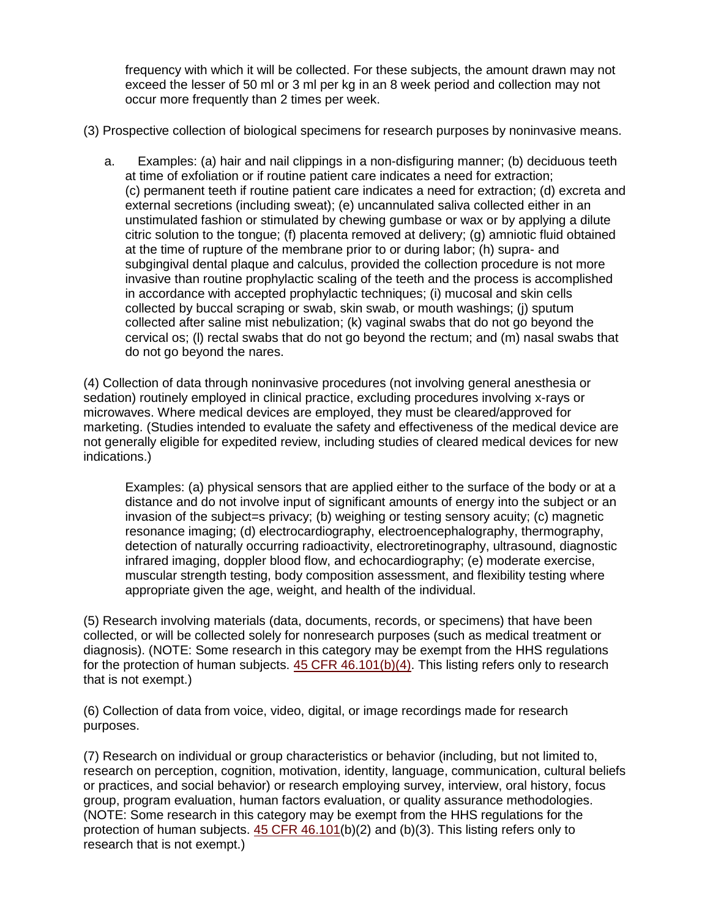frequency with which it will be collected. For these subjects, the amount drawn may not exceed the lesser of 50 ml or 3 ml per kg in an 8 week period and collection may not occur more frequently than 2 times per week.

(3) Prospective collection of biological specimens for research purposes by noninvasive means.

a. Examples: (a) hair and nail clippings in a non-disfiguring manner; (b) deciduous teeth at time of exfoliation or if routine patient care indicates a need for extraction; (c) permanent teeth if routine patient care indicates a need for extraction; (d) excreta and external secretions (including sweat); (e) uncannulated saliva collected either in an unstimulated fashion or stimulated by chewing gumbase or wax or by applying a dilute citric solution to the tongue; (f) placenta removed at delivery; (g) amniotic fluid obtained at the time of rupture of the membrane prior to or during labor; (h) supra- and subgingival dental plaque and calculus, provided the collection procedure is not more invasive than routine prophylactic scaling of the teeth and the process is accomplished in accordance with accepted prophylactic techniques; (i) mucosal and skin cells collected by buccal scraping or swab, skin swab, or mouth washings; (j) sputum collected after saline mist nebulization; (k) vaginal swabs that do not go beyond the cervical os; (l) rectal swabs that do not go beyond the rectum; and (m) nasal swabs that do not go beyond the nares.

(4) Collection of data through noninvasive procedures (not involving general anesthesia or sedation) routinely employed in clinical practice, excluding procedures involving x-rays or microwaves. Where medical devices are employed, they must be cleared/approved for marketing. (Studies intended to evaluate the safety and effectiveness of the medical device are not generally eligible for expedited review, including studies of cleared medical devices for new indications.)

Examples: (a) physical sensors that are applied either to the surface of the body or at a distance and do not involve input of significant amounts of energy into the subject or an invasion of the subject=s privacy; (b) weighing or testing sensory acuity; (c) magnetic resonance imaging; (d) electrocardiography, electroencephalography, thermography, detection of naturally occurring radioactivity, electroretinography, ultrasound, diagnostic infrared imaging, doppler blood flow, and echocardiography; (e) moderate exercise, muscular strength testing, body composition assessment, and flexibility testing where appropriate given the age, weight, and health of the individual.

(5) Research involving materials (data, documents, records, or specimens) that have been collected, or will be collected solely for nonresearch purposes (such as medical treatment or diagnosis). (NOTE: Some research in this category may be exempt from the HHS regulations for the protection of human subjects. [45 CFR 46.101\(b\)\(4\).](http://www.hhs.gov/ohrp/humansubjects/guidance/45cfr46.htm#46.101) This listing refers only to research that is not exempt.)

(6) Collection of data from voice, video, digital, or image recordings made for research purposes.

(7) Research on individual or group characteristics or behavior (including, but not limited to, research on perception, cognition, motivation, identity, language, communication, cultural beliefs or practices, and social behavior) or research employing survey, interview, oral history, focus group, program evaluation, human factors evaluation, or quality assurance methodologies. (NOTE: Some research in this category may be exempt from the HHS regulations for the protection of human subjects. [45 CFR 46.101\(](http://www.hhs.gov/ohrp/humansubjects/guidance/45cfr46.htm#46.101)b)(2) and (b)(3). This listing refers only to research that is not exempt.)